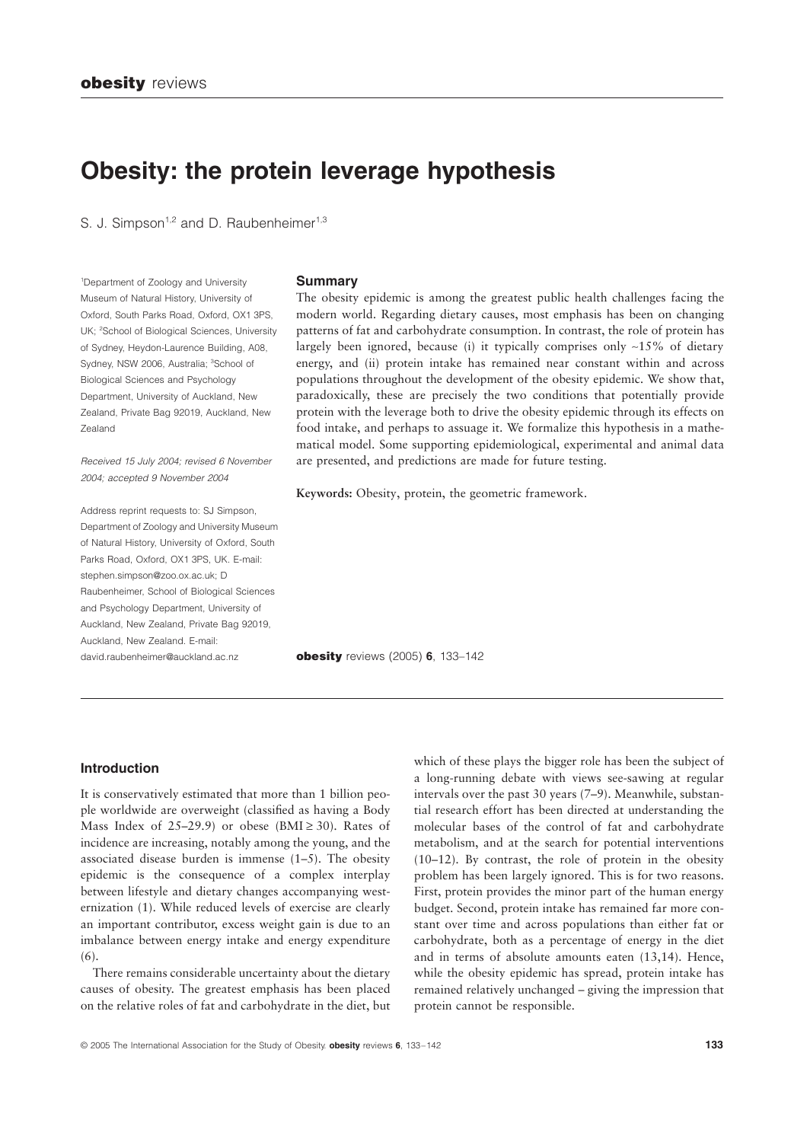# **Obesity: the protein leverage hypothesis**

S. J. Simpson<sup>1,2</sup> and D. Raubenheimer<sup>1,3</sup>

1 Department of Zoology and University Museum of Natural History, University of Oxford, South Parks Road, Oxford, OX1 3PS, UK; <sup>2</sup>School of Biological Sciences, University of Sydney, Heydon-Laurence Building, A08, Sydney, NSW 2006, Australia; <sup>3</sup>School of Biological Sciences and Psychology Department, University of Auckland, New Zealand, Private Bag 92019, Auckland, New Zealand

*Received 15 July 2004; revised 6 November 2004; accepted 9 November 2004*

Address reprint requests to: SJ Simpson, Department of Zoology and University Museum of Natural History, University of Oxford, South Parks Road, Oxford, OX1 3PS, UK. E-mail: stephen.simpson@zoo.ox.ac.uk; D Raubenheimer, School of Biological Sciences and Psychology Department, University of Auckland, New Zealand, Private Bag 92019, Auckland, New Zealand. E-mail: david.raubenheimer@auckland.ac.nz

#### **Summary**

The obesity epidemic is among the greatest public health challenges facing the modern world. Regarding dietary causes, most emphasis has been on changing patterns of fat and carbohydrate consumption. In contrast, the role of protein has largely been ignored, because (i) it typically comprises only  $\sim$ 15% of dietary energy, and (ii) protein intake has remained near constant within and across populations throughout the development of the obesity epidemic. We show that, paradoxically, these are precisely the two conditions that potentially provide protein with the leverage both to drive the obesity epidemic through its effects on food intake, and perhaps to assuage it. We formalize this hypothesis in a mathematical model. Some supporting epidemiological, experimental and animal data are presented, and predictions are made for future testing.

**Keywords:** Obesity, protein, the geometric framework.

**obesity** reviews (2005) **6**, 133–142

# **Introduction**

It is conservatively estimated that more than 1 billion people worldwide are overweight (classified as having a Body Mass Index of 25–29.9) or obese (BMI  $\geq$  30). Rates of incidence are increasing, notably among the young, and the associated disease burden is immense (1–5). The obesity epidemic is the consequence of a complex interplay between lifestyle and dietary changes accompanying westernization (1). While reduced levels of exercise are clearly an important contributor, excess weight gain is due to an imbalance between energy intake and energy expenditure (6).

There remains considerable uncertainty about the dietary causes of obesity. The greatest emphasis has been placed on the relative roles of fat and carbohydrate in the diet, but which of these plays the bigger role has been the subject of a long-running debate with views see-sawing at regular intervals over the past 30 years (7–9). Meanwhile, substantial research effort has been directed at understanding the molecular bases of the control of fat and carbohydrate metabolism, and at the search for potential interventions (10–12). By contrast, the role of protein in the obesity problem has been largely ignored. This is for two reasons. First, protein provides the minor part of the human energy budget. Second, protein intake has remained far more constant over time and across populations than either fat or carbohydrate, both as a percentage of energy in the diet and in terms of absolute amounts eaten (13,14). Hence, while the obesity epidemic has spread, protein intake has remained relatively unchanged – giving the impression that protein cannot be responsible.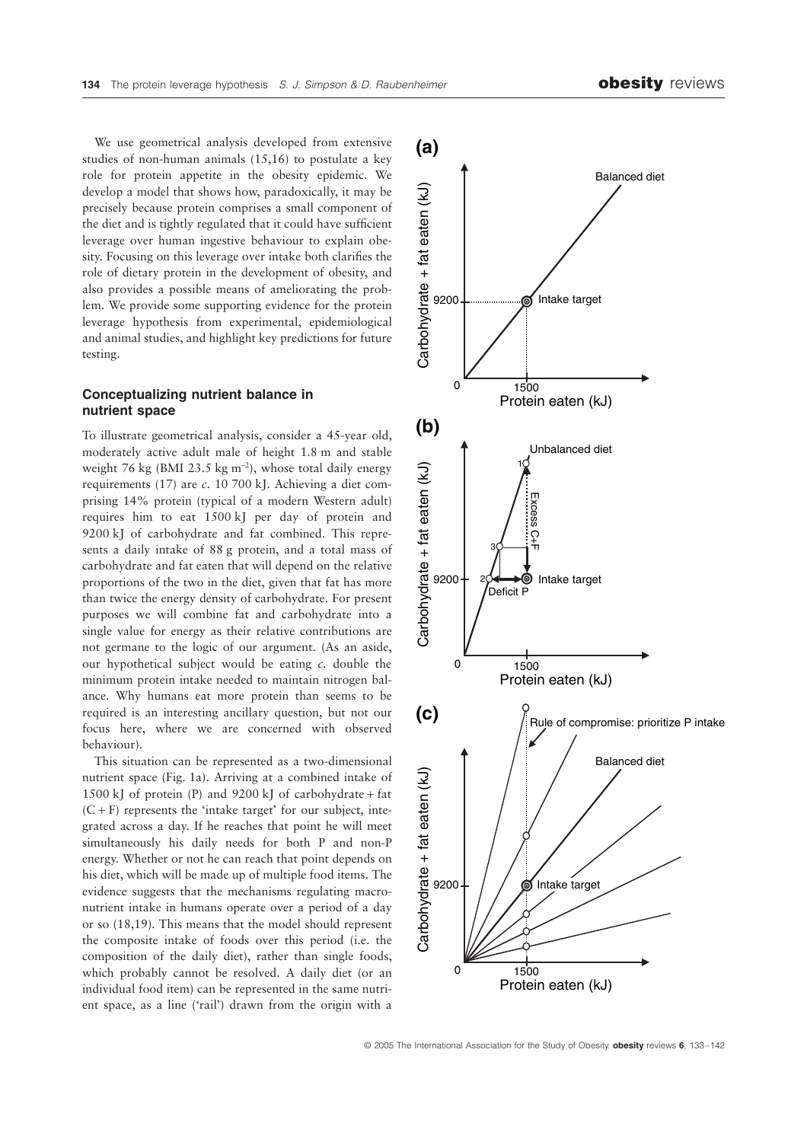We use geometrical analysis developed from extensive studies of non-human animals (15,16) to postulate a key role for protein appetite in the obesity epidemic. We develop a model that shows how, paradoxically, it may be precisely because protein comprises a small component of the diet and is tightly regulated that it could have sufficient leverage over human ingestive behaviour to explain obesity. Focusing on this leverage over intake both clarifies the role of dietary protein in the development of obesity, and also provides a possible means of ameliorating the problem. We provide some supporting evidence for the protein leverage hypothesis from experimental, epidemiological and animal studies, and highlight key predictions for future testing.

# **Conceptualizing nutrient balance in nutrient space**

To illustrate geometrical analysis, consider a 45-year old, moderately active adult male of height 1.8 m and stable weight 76 kg (BMI 23.5 kg  $m^{-2}$ ), whose total daily energy requirements (17) are *c*. 10 700 kJ. Achieving a diet comprising 14% protein (typical of a modern Western adult) requires him to eat 1500 kJ per day of protein and 9200 kJ of carbohydrate and fat combined. This represents a daily intake of 88 g protein, and a total mass of carbohydrate and fat eaten that will depend on the relative proportions of the two in the diet, given that fat has more than twice the energy density of carbohydrate. For present purposes we will combine fat and carbohydrate into a single value for energy as their relative contributions are not germane to the logic of our argument. (As an aside, our hypothetical subject would be eating *c.* double the minimum protein intake needed to maintain nitrogen balance. Why humans eat more protein than seems to be required is an interesting ancillary question, but not our focus here, where we are concerned with observed behaviour).

This situation can be represented as a two-dimensional nutrient space (Fig. 1a). Arriving at a combined intake of 1500 kJ of protein  $(P)$  and 9200 kJ of carbohydrate + fat  $(C + F)$  represents the 'intake target' for our subject, integrated across a day. If he reaches that point he will meet simultaneously his daily needs for both P and non-P energy. Whether or not he can reach that point depends on his diet, which will be made up of multiple food items. The evidence suggests that the mechanisms regulating macronutrient intake in humans operate over a period of a day or so (18,19). This means that the model should represent the composite intake of foods over this period (i.e. the composition of the daily diet), rather than single foods, which probably cannot be resolved. A daily diet (or an individual food item) can be represented in the same nutrient space, as a line ('rail') drawn from the origin with a

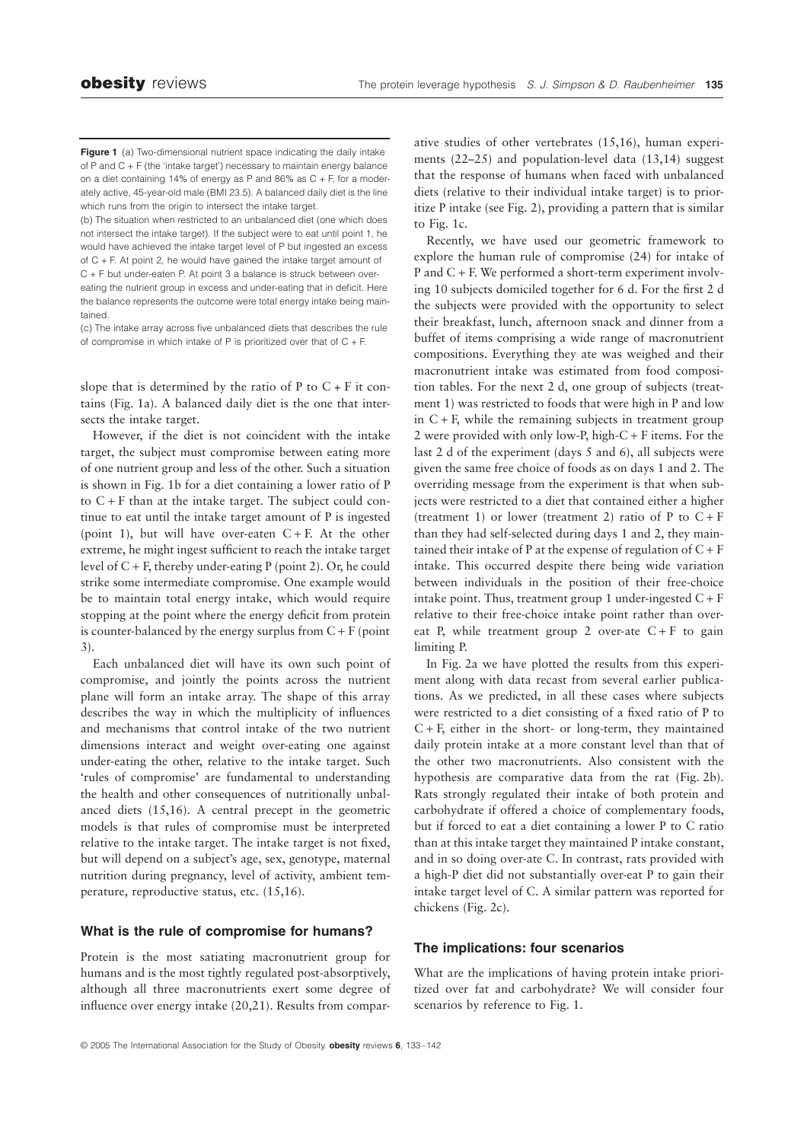**Figure 1** (a) Two-dimensional nutrient space indicating the daily intake of P and C + F (the 'intake target') necessary to maintain energy balance on a diet containing 14% of energy as P and 86% as C + F, for a moderately active, 45-year-old male (BMI 23.5). A balanced daily diet is the line which runs from the origin to intersect the intake target.

(b) The situation when restricted to an unbalanced diet (one which does not intersect the intake target). If the subject were to eat until point 1, he would have achieved the intake target level of P but ingested an excess of C + F. At point 2, he would have gained the intake target amount of C + F but under-eaten P. At point 3 a balance is struck between overeating the nutrient group in excess and under-eating that in deficit. Here

the balance represents the outcome were total energy intake being maintained.

(c) The intake array across five unbalanced diets that describes the rule of compromise in which intake of P is prioritized over that of  $C + F$ .

slope that is determined by the ratio of  $P$  to  $C + F$  it contains (Fig. 1a). A balanced daily diet is the one that intersects the intake target.

However, if the diet is not coincident with the intake target, the subject must compromise between eating more of one nutrient group and less of the other. Such a situation is shown in Fig. 1b for a diet containing a lower ratio of P to  $C + F$  than at the intake target. The subject could continue to eat until the intake target amount of P is ingested (point 1), but will have over-eaten  $C + F$ . At the other extreme, he might ingest sufficient to reach the intake target level of  $C + F$ , thereby under-eating P (point 2). Or, he could strike some intermediate compromise. One example would be to maintain total energy intake, which would require stopping at the point where the energy deficit from protein is counter-balanced by the energy surplus from  $C + F$  (point 3).

Each unbalanced diet will have its own such point of compromise, and jointly the points across the nutrient plane will form an intake array. The shape of this array describes the way in which the multiplicity of influences and mechanisms that control intake of the two nutrient dimensions interact and weight over-eating one against under-eating the other, relative to the intake target. Such 'rules of compromise' are fundamental to understanding the health and other consequences of nutritionally unbalanced diets (15,16). A central precept in the geometric models is that rules of compromise must be interpreted relative to the intake target. The intake target is not fixed, but will depend on a subject's age, sex, genotype, maternal nutrition during pregnancy, level of activity, ambient temperature, reproductive status, etc. (15,16).

# **What is the rule of compromise for humans?**

Protein is the most satiating macronutrient group for humans and is the most tightly regulated post-absorptively, although all three macronutrients exert some degree of influence over energy intake (20,21). Results from comparative studies of other vertebrates (15,16), human experiments (22–25) and population-level data (13,14) suggest that the response of humans when faced with unbalanced diets (relative to their individual intake target) is to prioritize P intake (see Fig. 2), providing a pattern that is similar to Fig. 1c.

Recently, we have used our geometric framework to explore the human rule of compromise (24) for intake of P and C + F. We performed a short-term experiment involving 10 subjects domiciled together for 6 d. For the first 2 d the subjects were provided with the opportunity to select their breakfast, lunch, afternoon snack and dinner from a buffet of items comprising a wide range of macronutrient compositions. Everything they ate was weighed and their macronutrient intake was estimated from food composition tables. For the next 2 d, one group of subjects (treatment 1) was restricted to foods that were high in P and low in  $C + F$ , while the remaining subjects in treatment group 2 were provided with only low-P, high-C + F items. For the last 2 d of the experiment (days 5 and 6), all subjects were given the same free choice of foods as on days 1 and 2. The overriding message from the experiment is that when subjects were restricted to a diet that contained either a higher (treatment 1) or lower (treatment 2) ratio of P to  $C + F$ than they had self-selected during days 1 and 2, they maintained their intake of P at the expense of regulation of  $C + F$ intake. This occurred despite there being wide variation between individuals in the position of their free-choice intake point. Thus, treatment group 1 under-ingested  $C + F$ relative to their free-choice intake point rather than overeat P, while treatment group 2 over-ate  $C + F$  to gain limiting P.

In Fig. 2a we have plotted the results from this experiment along with data recast from several earlier publications. As we predicted, in all these cases where subjects were restricted to a diet consisting of a fixed ratio of P to  $C + F$ , either in the short- or long-term, they maintained daily protein intake at a more constant level than that of the other two macronutrients. Also consistent with the hypothesis are comparative data from the rat (Fig. 2b). Rats strongly regulated their intake of both protein and carbohydrate if offered a choice of complementary foods, but if forced to eat a diet containing a lower P to C ratio than at this intake target they maintained P intake constant, and in so doing over-ate C. In contrast, rats provided with a high-P diet did not substantially over-eat P to gain their intake target level of C. A similar pattern was reported for chickens (Fig. 2c).

#### **The implications: four scenarios**

What are the implications of having protein intake prioritized over fat and carbohydrate? We will consider four scenarios by reference to Fig. 1.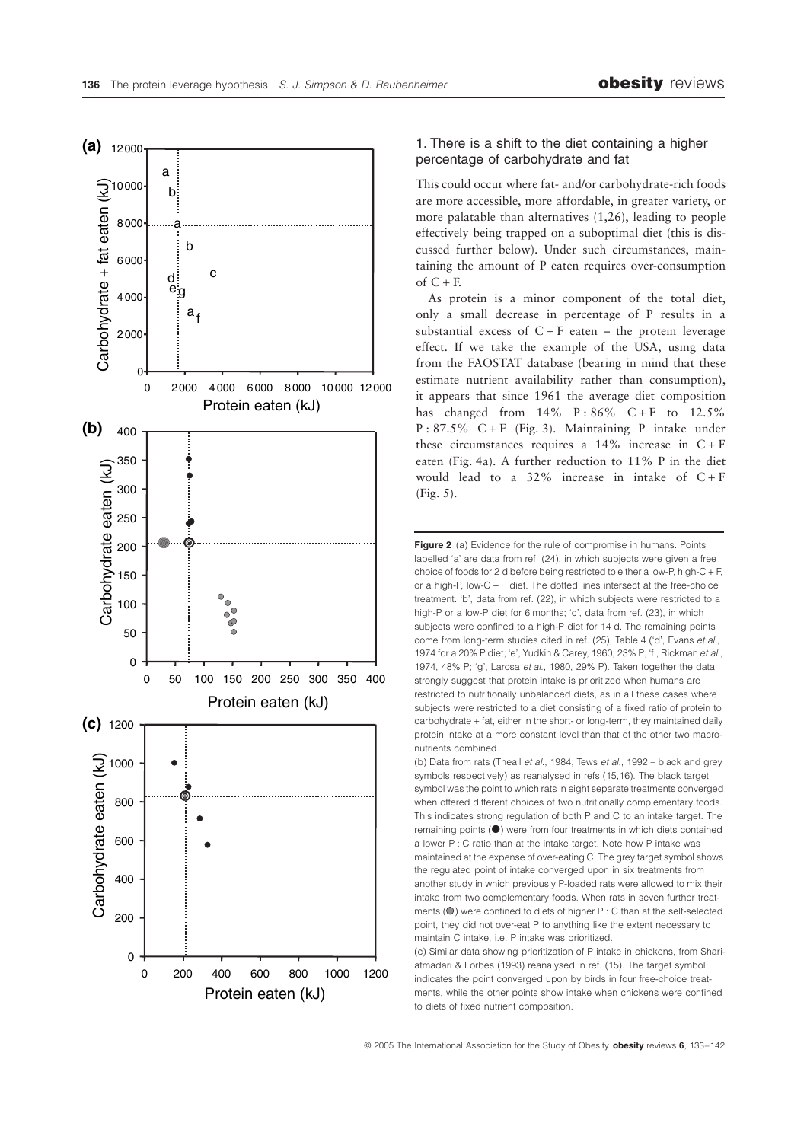

# 1. There is a shift to the diet containing a higher percentage of carbohydrate and fat

This could occur where fat- and/or carbohydrate-rich foods are more accessible, more affordable, in greater variety, or more palatable than alternatives (1,26), leading to people effectively being trapped on a suboptimal diet (this is discussed further below). Under such circumstances, maintaining the amount of P eaten requires over-consumption of  $C + F$ .

As protein is a minor component of the total diet, only a small decrease in percentage of P results in a substantial excess of  $C + F$  eaten – the protein leverage effect. If we take the example of the USA, using data from the FAOSTAT database (bearing in mind that these estimate nutrient availability rather than consumption), it appears that since 1961 the average diet composition has changed from  $14\%$  P:86% C + F to  $12.5\%$  $P: 87.5\% \text{ C+F (Fig. 3).}$  *Maintaining P intake under*these circumstances requires a  $14\%$  increase in  $C + F$ eaten (Fig. 4a). A further reduction to 11% P in the diet would lead to a  $32\%$  increase in intake of  $C + F$ (Fig. 5).

**Figure 2** (a) Evidence for the rule of compromise in humans. Points labelled 'a' are data from ref. (24), in which subjects were given a free choice of foods for 2 d before being restricted to either a low-P, high-C + F, or a high-P, low-C + F diet. The dotted lines intersect at the free-choice treatment. 'b', data from ref. (22), in which subjects were restricted to a high-P or a low-P diet for 6 months; 'c', data from ref. (23), in which subjects were confined to a high-P diet for 14 d. The remaining points come from long-term studies cited in ref. (25), Table 4 ('d', Evans *et al*., 1974 for a 20% P diet; 'e', Yudkin & Carey, 1960, 23% P; 'f', Rickman *et al*., 1974, 48% P; 'g', Larosa *et al*., 1980, 29% P). Taken together the data strongly suggest that protein intake is prioritized when humans are restricted to nutritionally unbalanced diets, as in all these cases where subjects were restricted to a diet consisting of a fixed ratio of protein to carbohydrate + fat, either in the short- or long-term, they maintained daily protein intake at a more constant level than that of the other two macronutrients combined.

(b) Data from rats (Theall *et al.*, 1984; Tews *et al.*, 1992 – black and grey symbols respectively) as reanalysed in refs (15,16). The black target symbol was the point to which rats in eight separate treatments converged when offered different choices of two nutritionally complementary foods. This indicates strong regulation of both P and C to an intake target. The remaining points  $($ <sup> $)$ </sup> were from four treatments in which diets contained a lower P : C ratio than at the intake target. Note how P intake was maintained at the expense of over-eating C. The grey target symbol shows the regulated point of intake converged upon in six treatments from another study in which previously P-loaded rats were allowed to mix their intake from two complementary foods. When rats in seven further treatments  $($ O $)$  were confined to diets of higher P : C than at the self-selected point, they did not over-eat P to anything like the extent necessary to maintain C intake, i.e. P intake was prioritized.

(c) Similar data showing prioritization of P intake in chickens, from Shariatmadari & Forbes (1993) reanalysed in ref. (15). The target symbol indicates the point converged upon by birds in four free-choice treatments, while the other points show intake when chickens were confined to diets of fixed nutrient composition.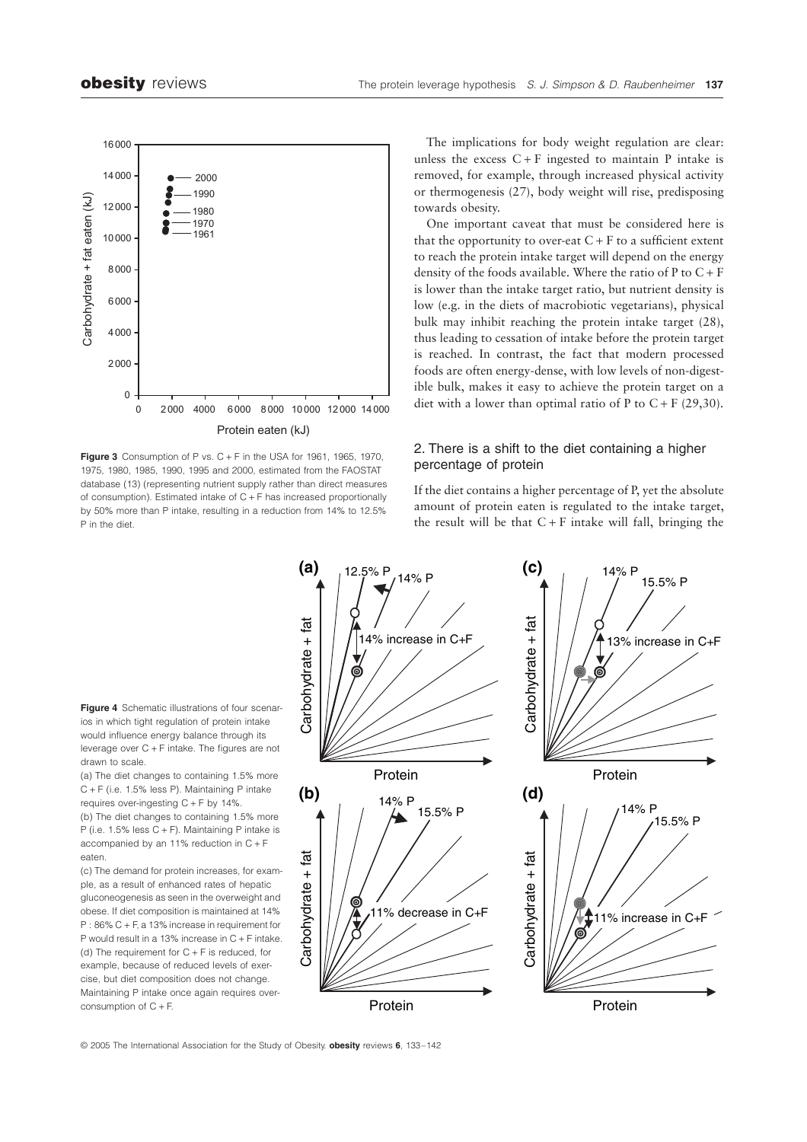

**Figure 3** Consumption of P vs.  $C + F$  in the USA for 1961, 1965, 1970, 1975, 1980, 1985, 1990, 1995 and 2000, estimated from the FAOSTAT database (13) (representing nutrient supply rather than direct measures of consumption). Estimated intake of C + F has increased proportionally by 50% more than P intake, resulting in a reduction from 14% to 12.5% P in the diet.

The implications for body weight regulation are clear: unless the excess  $C + F$  ingested to maintain P intake is removed, for example, through increased physical activity or thermogenesis (27), body weight will rise, predisposing towards obesity.

One important caveat that must be considered here is that the opportunity to over-eat  $C + F$  to a sufficient extent to reach the protein intake target will depend on the energy density of the foods available. Where the ratio of  $P$  to  $C + F$ is lower than the intake target ratio, but nutrient density is low (e.g. in the diets of macrobiotic vegetarians), physical bulk may inhibit reaching the protein intake target (28), thus leading to cessation of intake before the protein target is reached. In contrast, the fact that modern processed foods are often energy-dense, with low levels of non-digestible bulk, makes it easy to achieve the protein target on a diet with a lower than optimal ratio of P to  $C + F(29,30)$ .

# 2. There is a shift to the diet containing a higher percentage of protein

If the diet contains a higher percentage of P, yet the absolute amount of protein eaten is regulated to the intake target, the result will be that  $C + F$  intake will fall, bringing the



**Figure 4** Schematic illustrations of four scenarios in which tight regulation of protein intake would influence energy balance through its leverage over C + F intake. The figures are not drawn to scale.

(a) The diet changes to containing 1.5% more C + F (i.e. 1.5% less P). Maintaining P intake requires over-ingesting C + F by 14%. (b) The diet changes to containing 1.5% more P (i.e. 1.5% less C + F). Maintaining P intake is accompanied by an 11% reduction in C + F eaten.

(c) The demand for protein increases, for example, as a result of enhanced rates of hepatic gluconeogenesis as seen in the overweight and obese. If diet composition is maintained at 14% P : 86% C + F, a 13% increase in requirement for P would result in a 13% increase in C + F intake. (d) The requirement for  $C + F$  is reduced, for example, because of reduced levels of exercise, but diet composition does not change. Maintaining P intake once again requires over-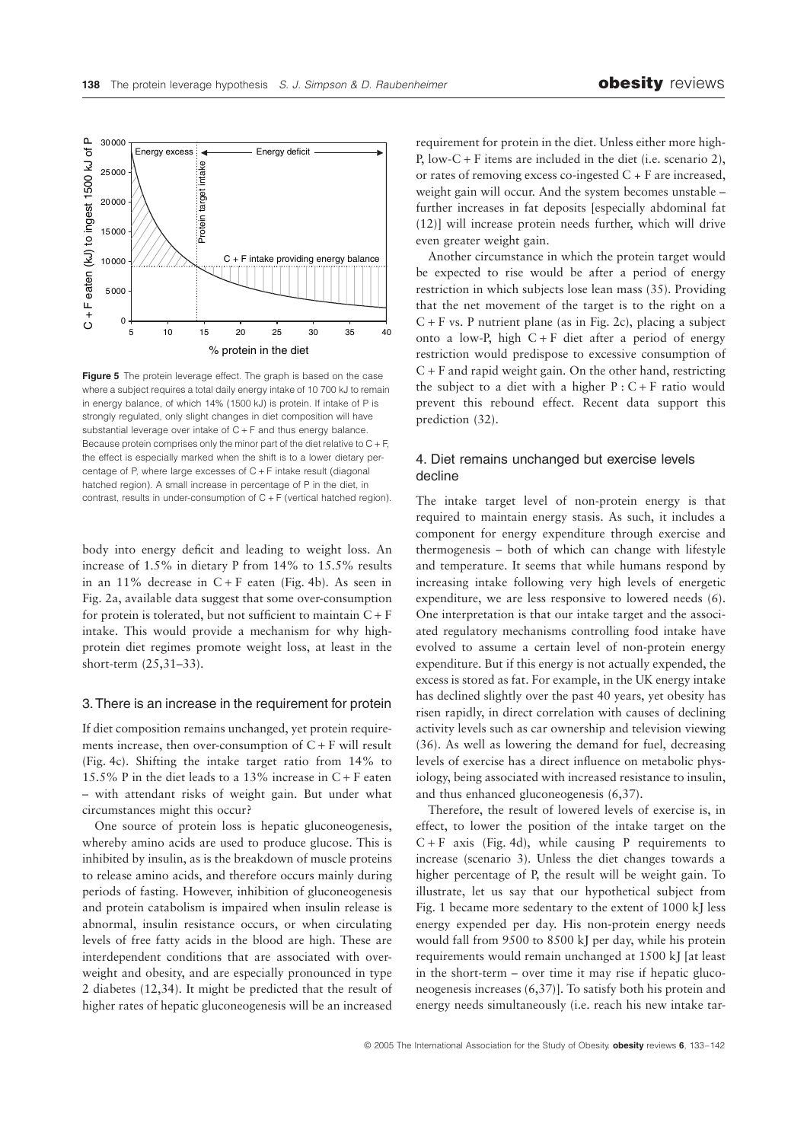

**Figure 5** The protein leverage effect. The graph is based on the case where a subject requires a total daily energy intake of 10 700 kJ to remain in energy balance, of which 14% (1500 kJ) is protein. If intake of P is strongly regulated, only slight changes in diet composition will have substantial leverage over intake of  $C + F$  and thus energy balance. Because protein comprises only the minor part of the diet relative to  $C + F$ , the effect is especially marked when the shift is to a lower dietary percentage of P, where large excesses of C + F intake result (diagonal hatched region). A small increase in percentage of P in the diet, in contrast, results in under-consumption of  $C + F$  (vertical hatched region).

body into energy deficit and leading to weight loss. An increase of 1.5% in dietary P from 14% to 15.5% results in an 11% decrease in  $C + F$  eaten (Fig. 4b). As seen in Fig. 2a, available data suggest that some over-consumption for protein is tolerated, but not sufficient to maintain  $C + F$ intake. This would provide a mechanism for why highprotein diet regimes promote weight loss, at least in the short-term (25,31–33).

#### 3. There is an increase in the requirement for protein

If diet composition remains unchanged, yet protein requirements increase, then over-consumption of  $C + F$  will result (Fig. 4c). Shifting the intake target ratio from 14% to 15.5% P in the diet leads to a 13% increase in  $C + F$  eaten – with attendant risks of weight gain. But under what circumstances might this occur?

One source of protein loss is hepatic gluconeogenesis, whereby amino acids are used to produce glucose. This is inhibited by insulin, as is the breakdown of muscle proteins to release amino acids, and therefore occurs mainly during periods of fasting. However, inhibition of gluconeogenesis and protein catabolism is impaired when insulin release is abnormal, insulin resistance occurs, or when circulating levels of free fatty acids in the blood are high. These are interdependent conditions that are associated with overweight and obesity, and are especially pronounced in type 2 diabetes (12,34). It might be predicted that the result of higher rates of hepatic gluconeogenesis will be an increased requirement for protein in the diet. Unless either more high-P, low-C + F items are included in the diet (i.e. scenario 2), or rates of removing excess co-ingested C + F are increased, weight gain will occur. And the system becomes unstable – further increases in fat deposits [especially abdominal fat (12)] will increase protein needs further, which will drive even greater weight gain.

Another circumstance in which the protein target would be expected to rise would be after a period of energy restriction in which subjects lose lean mass (35). Providing that the net movement of the target is to the right on a  $C + F$  vs. P nutrient plane (as in Fig. 2c), placing a subject onto a low-P, high  $C + F$  diet after a period of energy restriction would predispose to excessive consumption of  $C + F$  and rapid weight gain. On the other hand, restricting the subject to a diet with a higher  $P : C + F$  ratio would prevent this rebound effect. Recent data support this prediction (32).

# 4. Diet remains unchanged but exercise levels decline

The intake target level of non-protein energy is that required to maintain energy stasis. As such, it includes a component for energy expenditure through exercise and thermogenesis – both of which can change with lifestyle and temperature. It seems that while humans respond by increasing intake following very high levels of energetic expenditure, we are less responsive to lowered needs (6). One interpretation is that our intake target and the associated regulatory mechanisms controlling food intake have evolved to assume a certain level of non-protein energy expenditure. But if this energy is not actually expended, the excess is stored as fat. For example, in the UK energy intake has declined slightly over the past 40 years, yet obesity has risen rapidly, in direct correlation with causes of declining activity levels such as car ownership and television viewing (36). As well as lowering the demand for fuel, decreasing levels of exercise has a direct influence on metabolic physiology, being associated with increased resistance to insulin, and thus enhanced gluconeogenesis (6,37).

Therefore, the result of lowered levels of exercise is, in effect, to lower the position of the intake target on the  $C + F$  axis (Fig. 4d), while causing P requirements to increase (scenario 3). Unless the diet changes towards a higher percentage of P, the result will be weight gain. To illustrate, let us say that our hypothetical subject from Fig. 1 became more sedentary to the extent of 1000 kJ less energy expended per day. His non-protein energy needs would fall from 9500 to 8500 kJ per day, while his protein requirements would remain unchanged at 1500 kJ [at least in the short-term – over time it may rise if hepatic gluconeogenesis increases (6,37)]. To satisfy both his protein and energy needs simultaneously (i.e. reach his new intake tar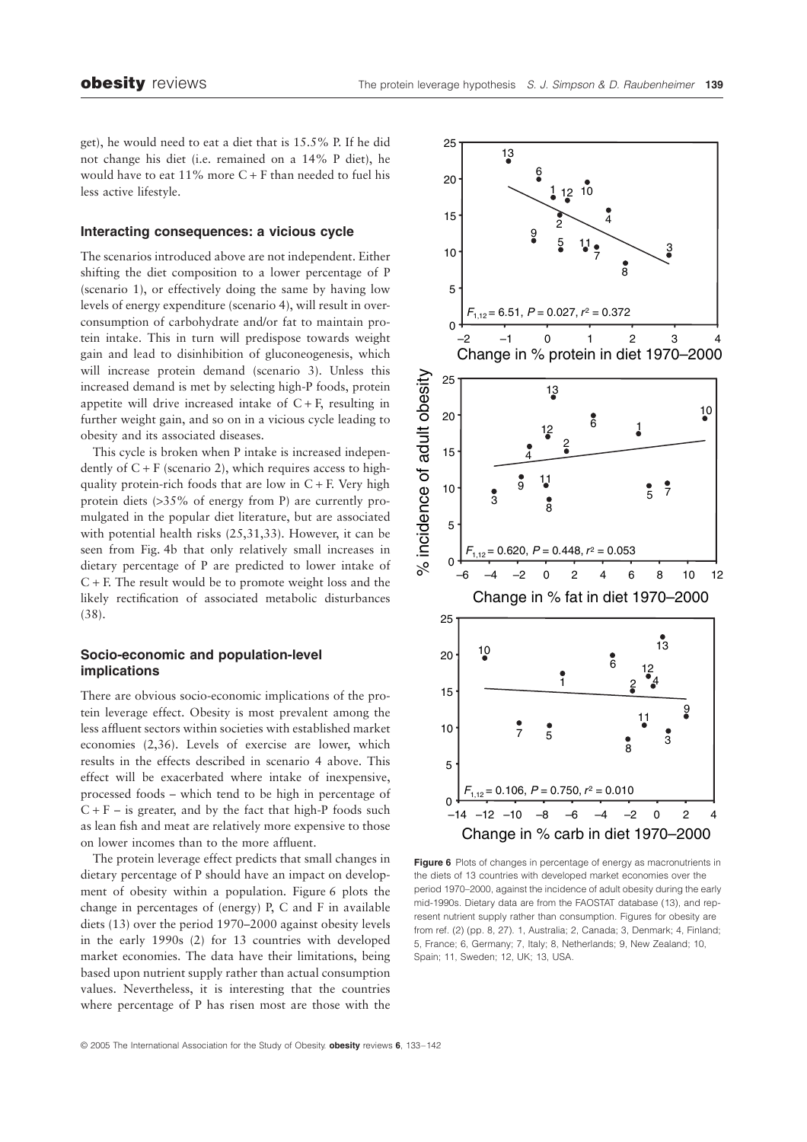get), he would need to eat a diet that is 15.5% P. If he did not change his diet (i.e. remained on a 14% P diet), he would have to eat  $11\%$  more C + F than needed to fuel his less active lifestyle.

# **Interacting consequences: a vicious cycle**

The scenarios introduced above are not independent. Either shifting the diet composition to a lower percentage of P (scenario 1), or effectively doing the same by having low levels of energy expenditure (scenario 4), will result in overconsumption of carbohydrate and/or fat to maintain protein intake. This in turn will predispose towards weight gain and lead to disinhibition of gluconeogenesis, which will increase protein demand (scenario 3). Unless this increased demand is met by selecting high-P foods, protein appetite will drive increased intake of  $C + F$ , resulting in further weight gain, and so on in a vicious cycle leading to obesity and its associated diseases.

This cycle is broken when P intake is increased independently of  $C + F$  (scenario 2), which requires access to highquality protein-rich foods that are low in  $C + F$ . Very high protein diets (>35% of energy from P) are currently promulgated in the popular diet literature, but are associated with potential health risks (25,31,33). However, it can be seen from Fig. 4b that only relatively small increases in dietary percentage of P are predicted to lower intake of C + F. The result would be to promote weight loss and the likely rectification of associated metabolic disturbances (38).

# **Socio-economic and population-level implications**

There are obvious socio-economic implications of the protein leverage effect. Obesity is most prevalent among the less affluent sectors within societies with established market economies (2,36). Levels of exercise are lower, which results in the effects described in scenario 4 above. This effect will be exacerbated where intake of inexpensive, processed foods – which tend to be high in percentage of  $C + F -$  is greater, and by the fact that high-P foods such as lean fish and meat are relatively more expensive to those on lower incomes than to the more affluent.

The protein leverage effect predicts that small changes in dietary percentage of P should have an impact on development of obesity within a population. Figure 6 plots the change in percentages of (energy) P, C and F in available diets (13) over the period 1970–2000 against obesity levels in the early 1990s (2) for 13 countries with developed market economies. The data have their limitations, being based upon nutrient supply rather than actual consumption values. Nevertheless, it is interesting that the countries where percentage of P has risen most are those with the



**Figure 6** Plots of changes in percentage of energy as macronutrients in the diets of 13 countries with developed market economies over the period 1970–2000, against the incidence of adult obesity during the early mid-1990s. Dietary data are from the FAOSTAT database (13), and represent nutrient supply rather than consumption. Figures for obesity are from ref. (2) (pp. 8, 27). 1, Australia; 2, Canada; 3, Denmark; 4, Finland; 5, France; 6, Germany; 7, Italy; 8, Netherlands; 9, New Zealand; 10, Spain; 11, Sweden; 12, UK; 13, USA.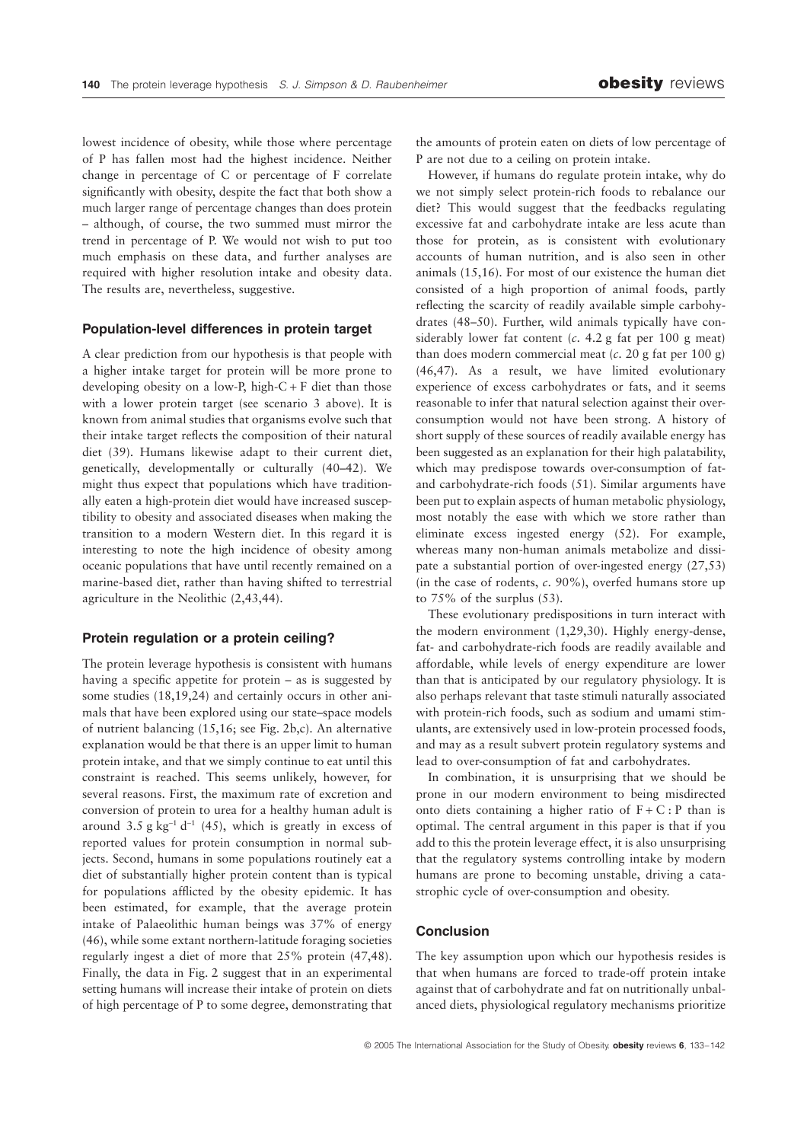lowest incidence of obesity, while those where percentage of P has fallen most had the highest incidence. Neither change in percentage of C or percentage of F correlate significantly with obesity, despite the fact that both show a much larger range of percentage changes than does protein – although, of course, the two summed must mirror the trend in percentage of P. We would not wish to put too much emphasis on these data, and further analyses are required with higher resolution intake and obesity data. The results are, nevertheless, suggestive.

#### **Population-level differences in protein target**

A clear prediction from our hypothesis is that people with a higher intake target for protein will be more prone to developing obesity on a low-P, high- $C + F$  diet than those with a lower protein target (see scenario 3 above). It is known from animal studies that organisms evolve such that their intake target reflects the composition of their natural diet (39). Humans likewise adapt to their current diet, genetically, developmentally or culturally (40–42). We might thus expect that populations which have traditionally eaten a high-protein diet would have increased susceptibility to obesity and associated diseases when making the transition to a modern Western diet. In this regard it is interesting to note the high incidence of obesity among oceanic populations that have until recently remained on a marine-based diet, rather than having shifted to terrestrial agriculture in the Neolithic (2,43,44).

#### **Protein regulation or a protein ceiling?**

The protein leverage hypothesis is consistent with humans having a specific appetite for protein – as is suggested by some studies (18,19,24) and certainly occurs in other animals that have been explored using our state–space models of nutrient balancing (15,16; see Fig. 2b,c). An alternative explanation would be that there is an upper limit to human protein intake, and that we simply continue to eat until this constraint is reached. This seems unlikely, however, for several reasons. First, the maximum rate of excretion and conversion of protein to urea for a healthy human adult is around 3.5 g  $kg^{-1} d^{-1}$  (45), which is greatly in excess of reported values for protein consumption in normal subjects. Second, humans in some populations routinely eat a diet of substantially higher protein content than is typical for populations afflicted by the obesity epidemic. It has been estimated, for example, that the average protein intake of Palaeolithic human beings was 37% of energy (46), while some extant northern-latitude foraging societies regularly ingest a diet of more that 25% protein (47,48). Finally, the data in Fig. 2 suggest that in an experimental setting humans will increase their intake of protein on diets of high percentage of P to some degree, demonstrating that

the amounts of protein eaten on diets of low percentage of P are not due to a ceiling on protein intake.

However, if humans do regulate protein intake, why do we not simply select protein-rich foods to rebalance our diet? This would suggest that the feedbacks regulating excessive fat and carbohydrate intake are less acute than those for protein, as is consistent with evolutionary accounts of human nutrition, and is also seen in other animals (15,16). For most of our existence the human diet consisted of a high proportion of animal foods, partly reflecting the scarcity of readily available simple carbohydrates (48–50). Further, wild animals typically have considerably lower fat content (*c*. 4.2 g fat per 100 g meat) than does modern commercial meat (*c*. 20 g fat per 100 g) (46,47). As a result, we have limited evolutionary experience of excess carbohydrates or fats, and it seems reasonable to infer that natural selection against their overconsumption would not have been strong. A history of short supply of these sources of readily available energy has been suggested as an explanation for their high palatability, which may predispose towards over-consumption of fatand carbohydrate-rich foods (51). Similar arguments have been put to explain aspects of human metabolic physiology, most notably the ease with which we store rather than eliminate excess ingested energy (52). For example, whereas many non-human animals metabolize and dissipate a substantial portion of over-ingested energy (27,53) (in the case of rodents, *c*. 90%), overfed humans store up to 75% of the surplus (53).

These evolutionary predispositions in turn interact with the modern environment (1,29,30). Highly energy-dense, fat- and carbohydrate-rich foods are readily available and affordable, while levels of energy expenditure are lower than that is anticipated by our regulatory physiology. It is also perhaps relevant that taste stimuli naturally associated with protein-rich foods, such as sodium and umami stimulants, are extensively used in low-protein processed foods, and may as a result subvert protein regulatory systems and lead to over-consumption of fat and carbohydrates.

In combination, it is unsurprising that we should be prone in our modern environment to being misdirected onto diets containing a higher ratio of  $F + C$ : P than is optimal. The central argument in this paper is that if you add to this the protein leverage effect, it is also unsurprising that the regulatory systems controlling intake by modern humans are prone to becoming unstable, driving a catastrophic cycle of over-consumption and obesity.

#### **Conclusion**

The key assumption upon which our hypothesis resides is that when humans are forced to trade-off protein intake against that of carbohydrate and fat on nutritionally unbalanced diets, physiological regulatory mechanisms prioritize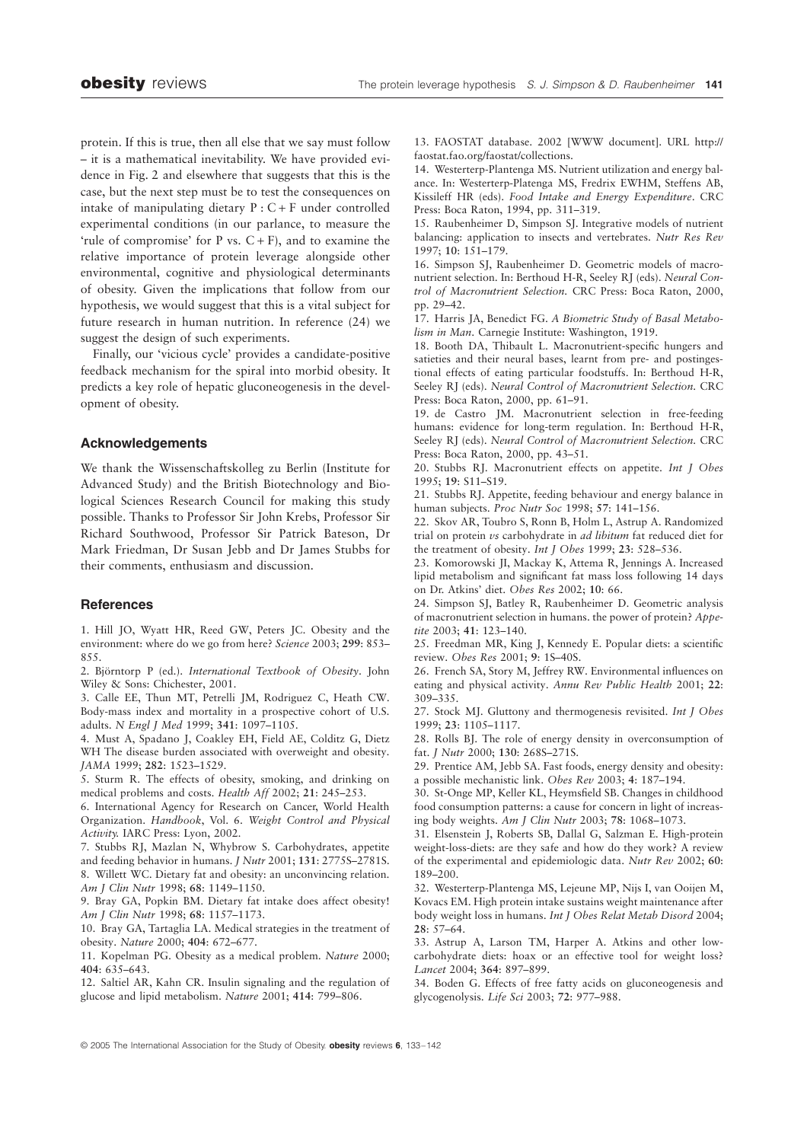protein. If this is true, then all else that we say must follow – it is a mathematical inevitability. We have provided evidence in Fig. 2 and elsewhere that suggests that this is the case, but the next step must be to test the consequences on intake of manipulating dietary  $P : C + F$  under controlled experimental conditions (in our parlance, to measure the 'rule of compromise' for P vs.  $C + F$ ), and to examine the relative importance of protein leverage alongside other environmental, cognitive and physiological determinants of obesity. Given the implications that follow from our hypothesis, we would suggest that this is a vital subject for future research in human nutrition. In reference (24) we suggest the design of such experiments.

Finally, our 'vicious cycle' provides a candidate-positive feedback mechanism for the spiral into morbid obesity. It predicts a key role of hepatic gluconeogenesis in the development of obesity.

#### **Acknowledgements**

We thank the Wissenschaftskolleg zu Berlin (Institute for Advanced Study) and the British Biotechnology and Biological Sciences Research Council for making this study possible. Thanks to Professor Sir John Krebs, Professor Sir Richard Southwood, Professor Sir Patrick Bateson, Dr Mark Friedman, Dr Susan Jebb and Dr James Stubbs for their comments, enthusiasm and discussion.

#### **References**

1. Hill JO, Wyatt HR, Reed GW, Peters JC. Obesity and the environment: where do we go from here? *Science* 2003; **299**: 853– 855.

2. Björntorp P (ed.). *International Textbook of Obesity*. John Wiley & Sons: Chichester, 2001.

3. Calle EE, Thun MT, Petrelli JM, Rodriguez C, Heath CW. Body-mass index and mortality in a prospective cohort of U.S. adults. *N Engl J Med* 1999; **341**: 1097–1105.

4. Must A, Spadano J, Coakley EH, Field AE, Colditz G, Dietz WH The disease burden associated with overweight and obesity. *JAMA* 1999; **282**: 1523–1529.

5. Sturm R. The effects of obesity, smoking, and drinking on medical problems and costs. *Health Aff* 2002; **21**: 245–253.

6. International Agency for Research on Cancer, World Health Organization. *Handbook*, Vol. 6. *Weight Control and Physical Activity.* IARC Press: Lyon, 2002.

7. Stubbs RJ, Mazlan N, Whybrow S. Carbohydrates, appetite and feeding behavior in humans. *J Nutr* 2001; **131**: 2775S–2781S. 8. Willett WC. Dietary fat and obesity: an unconvincing relation. *Am J Clin Nutr* 1998; **68**: 1149–1150.

9. Bray GA, Popkin BM. Dietary fat intake does affect obesity! *Am J Clin Nutr* 1998; **68**: 1157–1173.

10. Bray GA, Tartaglia LA. Medical strategies in the treatment of obesity. *Nature* 2000; **404**: 672–677.

11. Kopelman PG. Obesity as a medical problem. *Nature* 2000; **404**: 635–643.

12. Saltiel AR, Kahn CR. Insulin signaling and the regulation of glucose and lipid metabolism. *Nature* 2001; **414**: 799–806.

13. FAOSTAT database. 2002 [WWW document]. URL <http://> faostat.fao.org/faostat/collections.

14. Westerterp-Plantenga MS. Nutrient utilization and energy balance. In: Westerterp-Platenga MS, Fredrix EWHM, Steffens AB, Kissileff HR (eds). *Food Intake and Energy Expenditure*. CRC Press: Boca Raton, 1994, pp. 311–319.

15. Raubenheimer D, Simpson SJ. Integrative models of nutrient balancing: application to insects and vertebrates. *Nutr Res Rev* 1997; **10**: 151–179.

16. Simpson SJ, Raubenheimer D. Geometric models of macronutrient selection. In: Berthoud H-R, Seeley RJ (eds). *Neural Control of Macronutrient Selection.* CRC Press: Boca Raton, 2000, pp. 29–42.

17. Harris JA, Benedict FG. *A Biometric Study of Basal Metabolism in Man*. Carnegie Institute: Washington, 1919.

18. Booth DA, Thibault L. Macronutrient-specific hungers and satieties and their neural bases, learnt from pre- and postingestional effects of eating particular foodstuffs. In: Berthoud H-R, Seeley RJ (eds). *Neural Control of Macronutrient Selection.* CRC Press: Boca Raton, 2000, pp. 61–91.

19. de Castro JM. Macronutrient selection in free-feeding humans: evidence for long-term regulation. In: Berthoud H-R, Seeley RJ (eds). *Neural Control of Macronutrient Selection.* CRC Press: Boca Raton, 2000, pp. 43–51.

20. Stubbs RJ. Macronutrient effects on appetite. *Int J Obes* 1995; **19**: S11–S19.

21. Stubbs RJ. Appetite, feeding behaviour and energy balance in human subjects. *Proc Nutr Soc* 1998; **57**: 141–156.

22. Skov AR, Toubro S, Ronn B, Holm L, Astrup A. Randomized trial on protein *vs* carbohydrate in *ad libitum* fat reduced diet for the treatment of obesity. *Int J Obes* 1999; **23**: 528–536.

23. Komorowski JI, Mackay K, Attema R, Jennings A. Increased lipid metabolism and significant fat mass loss following 14 days on Dr. Atkins' diet. *Obes Res* 2002; **10**: 66.

24. Simpson SJ, Batley R, Raubenheimer D. Geometric analysis of macronutrient selection in humans. the power of protein? *Appetite* 2003; **41**: 123–140.

25. Freedman MR, King J, Kennedy E. Popular diets: a scientific review. *Obes Res* 2001; **9**: 1S–40S.

26. French SA, Story M, Jeffrey RW. Environmental influences on eating and physical activity. *Annu Rev Public Health* 2001; **22**: 309–335.

27. Stock MJ. Gluttony and thermogenesis revisited. *Int J Obes* 1999; **23**: 1105–1117.

28. Rolls BJ. The role of energy density in overconsumption of fat. *J Nutr* 2000; **130**: 268S–271S.

29. Prentice AM, Jebb SA. Fast foods, energy density and obesity: a possible mechanistic link. *Obes Rev* 2003; **4**: 187–194.

30. St-Onge MP, Keller KL, Heymsfield SB. Changes in childhood food consumption patterns: a cause for concern in light of increasing body weights. *Am J Clin Nutr* 2003; **78**: 1068–1073.

31. Elsenstein J, Roberts SB, Dallal G, Salzman E. High-protein weight-loss-diets: are they safe and how do they work? A review of the experimental and epidemiologic data. *Nutr Rev* 2002; **60**: 189–200.

32. Westerterp-Plantenga MS, Lejeune MP, Nijs I, van Ooijen M, Kovacs EM. High protein intake sustains weight maintenance after body weight loss in humans. *Int J Obes Relat Metab Disord* 2004; **28**: 57–64.

33. Astrup A, Larson TM, Harper A. Atkins and other lowcarbohydrate diets: hoax or an effective tool for weight loss? *Lancet* 2004; **364**: 897–899.

34. Boden G. Effects of free fatty acids on gluconeogenesis and glycogenolysis. *Life Sci* 2003; **72**: 977–988.